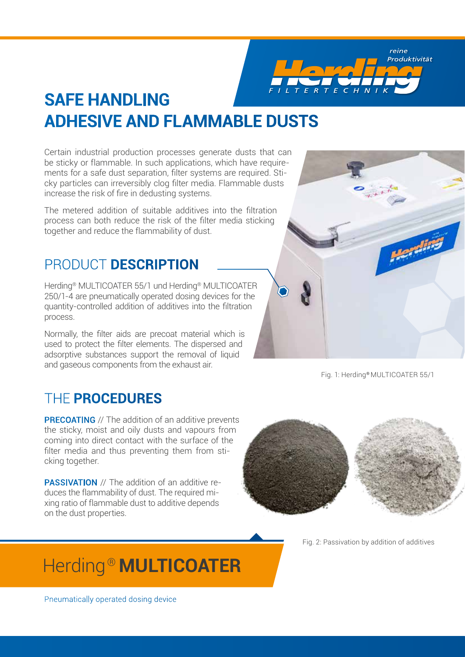reine Produktivität

# **SAFE HANDLING ADHESIVE AND FLAMMABLE DUSTS**

Certain industrial production processes generate dusts that can be sticky or flammable. In such applications, which have requirements for a safe dust separation, filter systems are required. Sticky particles can irreversibly clog filter media. Flammable dusts increase the risk of fire in dedusting systems.

The metered addition of suitable additives into the filtration process can both reduce the risk of the filter media sticking together and reduce the flammability of dust.

#### PRODUCT **DESCRIPTION**

Herding® MULTICOATER 55/1 und Herding® MULTICOATER 250/1-4 are pneumatically operated dosing devices for the quantity-controlled addition of additives into the filtration process.

Normally, the filter aids are precoat material which is used to protect the filter elements. The dispersed and adsorptive substances support the removal of liquid and gaseous components from the exhaust air.

### THE **PROCEDURES**

**PRECOATING** // The addition of an additive prevents the sticky, moist and oily dusts and vapours from coming into direct contact with the surface of the filter media and thus preventing them from sticking together.

PASSIVATION // The addition of an additive reduces the flammability of dust. The required mixing ratio of flammable dust to additive depends on the dust properties.



Fig. 2: Passivation by addition of additives

# Herding ® **MULTICOATER**



Fig. 1: Herding® MULTICOATER 55/1